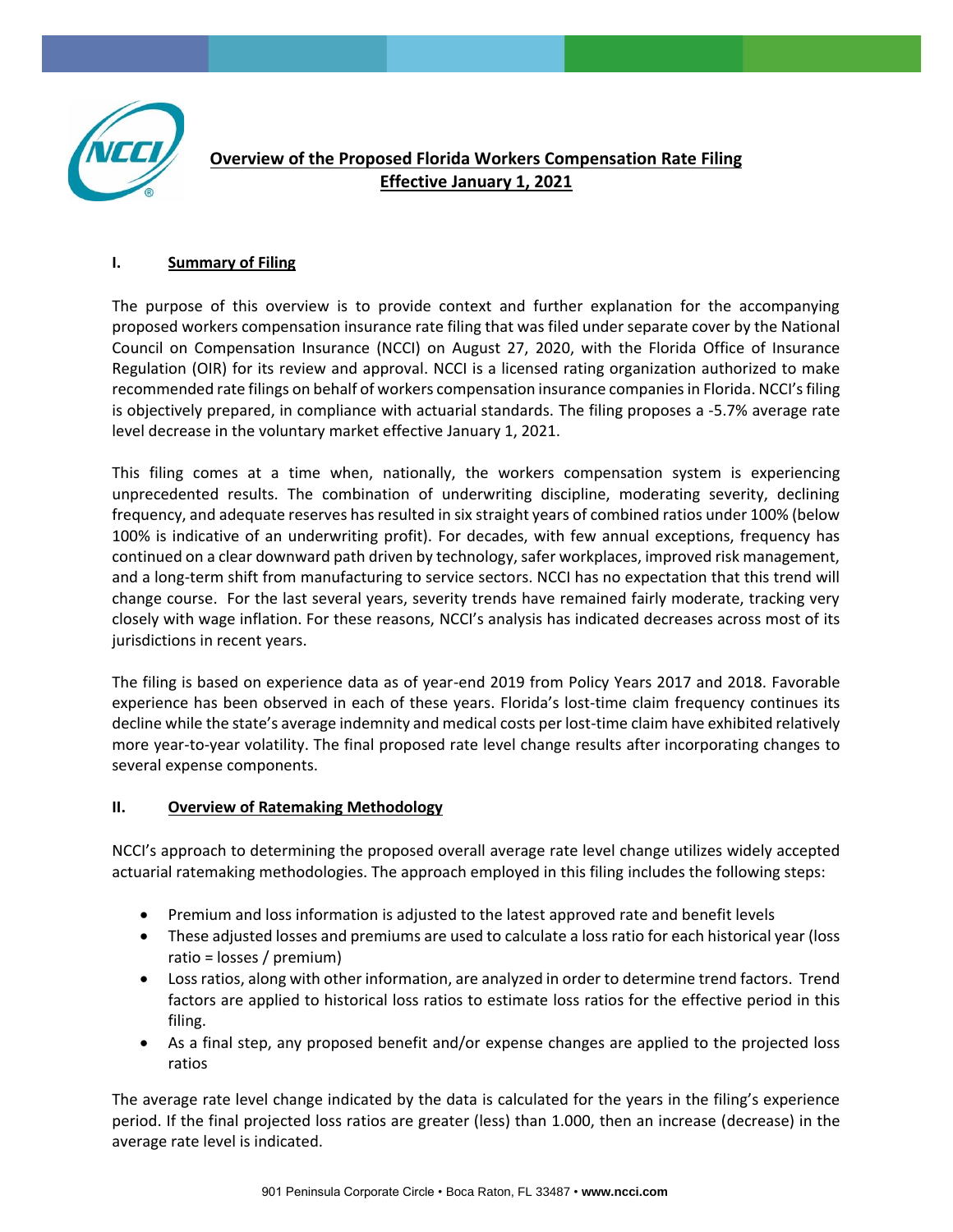

# **Overview of the Proposed Florida Workers Compensation Rate Filing Effective January 1, 2021**

#### **I. Summary of Filing**

The purpose of this overview is to provide context and further explanation for the accompanying proposed workers compensation insurance rate filing that was filed under separate cover by the National Council on Compensation Insurance (NCCI) on August 27, 2020, with the Florida Office of Insurance Regulation (OIR) for its review and approval. NCCI is a licensed rating organization authorized to make recommended rate filings on behalf of workers compensation insurance companies in Florida. NCCI's filing is objectively prepared, in compliance with actuarial standards. The filing proposes a -5.7% average rate level decrease in the voluntary market effective January 1, 2021.

This filing comes at a time when, nationally, the workers compensation system is experiencing unprecedented results. The combination of underwriting discipline, moderating severity, declining frequency, and adequate reserves has resulted in six straight years of combined ratios under 100% (below 100% is indicative of an underwriting profit). For decades, with few annual exceptions, frequency has continued on a clear downward path driven by technology, safer workplaces, improved risk management, and a long-term shift from manufacturing to service sectors. NCCI has no expectation that this trend will change course. For the last several years, severity trends have remained fairly moderate, tracking very closely with wage inflation. For these reasons, NCCI's analysis has indicated decreases across most of its jurisdictions in recent years.

The filing is based on experience data as of year-end 2019 from Policy Years 2017 and 2018. Favorable experience has been observed in each of these years. Florida's lost-time claim frequency continues its decline while the state's average indemnity and medical costs per lost-time claim have exhibited relatively more year-to-year volatility. The final proposed rate level change results after incorporating changes to several expense components.

#### **II. Overview of Ratemaking Methodology**

NCCI's approach to determining the proposed overall average rate level change utilizes widely accepted actuarial ratemaking methodologies. The approach employed in this filing includes the following steps:

- Premium and loss information is adjusted to the latest approved rate and benefit levels
- These adjusted losses and premiums are used to calculate a loss ratio for each historical year (loss ratio = losses / premium)
- Loss ratios, along with other information, are analyzed in order to determine trend factors. Trend factors are applied to historical loss ratios to estimate loss ratios for the effective period in this filing.
- As a final step, any proposed benefit and/or expense changes are applied to the projected loss ratios

The average rate level change indicated by the data is calculated for the years in the filing's experience period. If the final projected loss ratios are greater (less) than 1.000, then an increase (decrease) in the average rate level is indicated.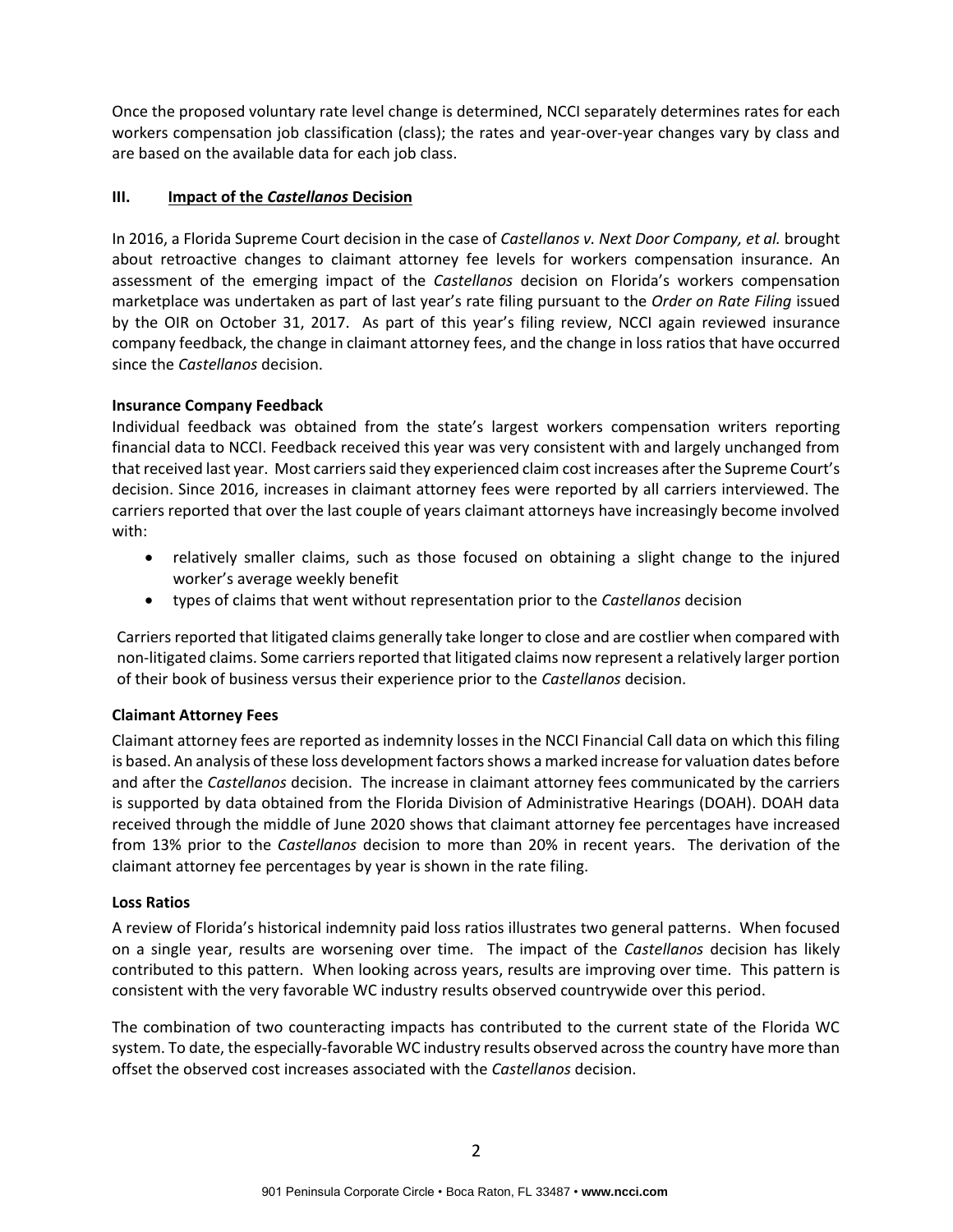Once the proposed voluntary rate level change is determined, NCCI separately determines rates for each workers compensation job classification (class); the rates and year-over-year changes vary by class and are based on the available data for each job class.

#### **III. Impact of the** *Castellanos* **Decision**

In 2016, a Florida Supreme Court decision in the case of *Castellanos v. Next Door Company, et al.* brought about retroactive changes to claimant attorney fee levels for workers compensation insurance. An assessment of the emerging impact of the *Castellanos* decision on Florida's workers compensation marketplace was undertaken as part of last year's rate filing pursuant to the *Order on Rate Filing* issued by the OIR on October 31, 2017. As part of this year's filing review, NCCI again reviewed insurance company feedback, the change in claimant attorney fees, and the change in loss ratios that have occurred since the *Castellanos* decision.

### **Insurance Company Feedback**

Individual feedback was obtained from the state's largest workers compensation writers reporting financial data to NCCI. Feedback received this year was very consistent with and largely unchanged from that received last year. Most carriers said they experienced claim cost increases after the Supreme Court's decision. Since 2016, increases in claimant attorney fees were reported by all carriers interviewed. The carriers reported that over the last couple of years claimant attorneys have increasingly become involved with:

- relatively smaller claims, such as those focused on obtaining a slight change to the injured worker's average weekly benefit
- types of claims that went without representation prior to the *Castellanos* decision

Carriers reported that litigated claims generally take longer to close and are costlier when compared with non-litigated claims. Some carriers reported that litigated claims now represent a relatively larger portion of their book of business versus their experience prior to the *Castellanos* decision.

## **Claimant Attorney Fees**

Claimant attorney fees are reported as indemnity losses in the NCCI Financial Call data on which this filing is based. An analysis of these loss development factors shows a marked increase for valuation dates before and after the *Castellanos* decision. The increase in claimant attorney fees communicated by the carriers is supported by data obtained from the Florida Division of Administrative Hearings (DOAH). DOAH data received through the middle of June 2020 shows that claimant attorney fee percentages have increased from 13% prior to the *Castellanos* decision to more than 20% in recent years. The derivation of the claimant attorney fee percentages by year is shown in the rate filing.

#### **Loss Ratios**

A review of Florida's historical indemnity paid loss ratios illustrates two general patterns. When focused on a single year, results are worsening over time. The impact of the *Castellanos* decision has likely contributed to this pattern. When looking across years, results are improving over time. This pattern is consistent with the very favorable WC industry results observed countrywide over this period.

The combination of two counteracting impacts has contributed to the current state of the Florida WC system. To date, the especially-favorable WC industry results observed across the country have more than offset the observed cost increases associated with the *Castellanos* decision.